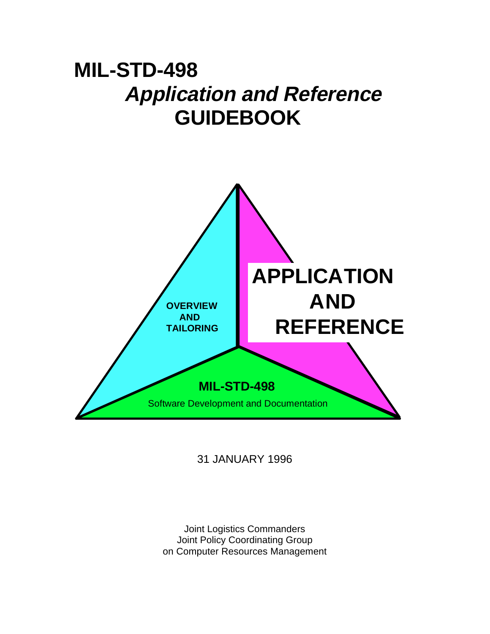# <span id="page-0-0"></span> **MIL-STD-498 Application and Reference GUIDEBOOK**



# 31 JANUARY 1996

Joint Logistics Commanders Joint Policy Coordinating Group on Computer Resources Management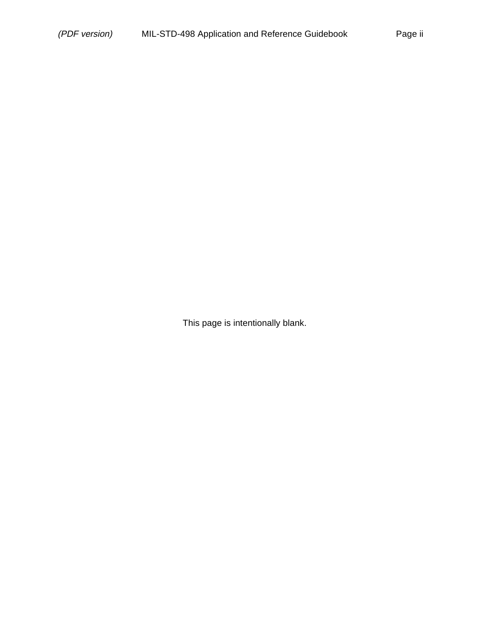This page is intentionally blank.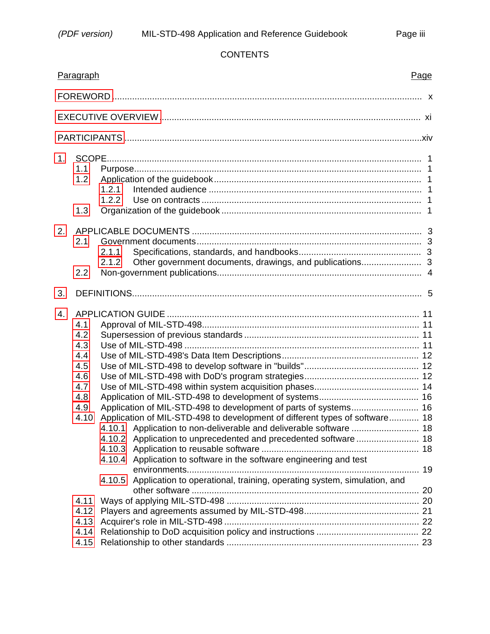# **CONTENTS**

<span id="page-2-0"></span>

|    | Paragraph                                                           | Page                                                                                                                                                                                                                                                                                                                                                                                     |  |
|----|---------------------------------------------------------------------|------------------------------------------------------------------------------------------------------------------------------------------------------------------------------------------------------------------------------------------------------------------------------------------------------------------------------------------------------------------------------------------|--|
|    |                                                                     |                                                                                                                                                                                                                                                                                                                                                                                          |  |
|    |                                                                     |                                                                                                                                                                                                                                                                                                                                                                                          |  |
|    |                                                                     |                                                                                                                                                                                                                                                                                                                                                                                          |  |
| 1. | 1.1<br>1.2<br>1.3                                                   | 1.2.1<br>1.2.2                                                                                                                                                                                                                                                                                                                                                                           |  |
| 2. | 2.1<br>2.2                                                          | 2.1.1<br>2.1.2                                                                                                                                                                                                                                                                                                                                                                           |  |
| 3. |                                                                     |                                                                                                                                                                                                                                                                                                                                                                                          |  |
| 4. | 4.1<br>4.2<br>4.3<br>4.4<br>4.5<br>4.6<br>4.7<br>4.8<br>4.9<br>4.10 | Application of MIL-STD-498 to development of parts of systems 16<br>Application of MIL-STD-498 to development of different types of software 18<br>4.10.1 Application to non-deliverable and deliverable software  18<br>4.10.2<br>4.10.4 Application to software in the software engineering and test<br>4.10.5 Application to operational, training, operating system, simulation, and |  |
|    | 4.11<br>4.12<br>4.13<br>4.14<br>4.15                                |                                                                                                                                                                                                                                                                                                                                                                                          |  |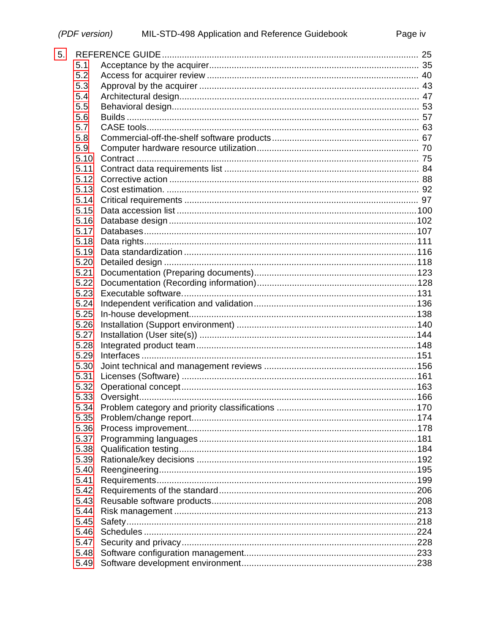<span id="page-3-0"></span>

| 5. |      |  |
|----|------|--|
|    | 5.1  |  |
|    | 5.2  |  |
|    | 5.3  |  |
|    | 5.4  |  |
|    | 5.5  |  |
|    | 5.6  |  |
|    | 5.7  |  |
|    | 5.8  |  |
|    | 5.9  |  |
|    | 5.10 |  |
|    | 5.11 |  |
|    | 5.12 |  |
|    | 5.13 |  |
|    | 5.14 |  |
|    | 5.15 |  |
|    | 5.16 |  |
|    | 5.17 |  |
|    | 5.18 |  |
|    | 5.19 |  |
|    | 5.20 |  |
|    | 5.21 |  |
|    | 5.22 |  |
|    | 5.23 |  |
|    | 5.24 |  |
|    | 5.25 |  |
|    | 5.26 |  |
|    | 5.27 |  |
|    | 5.28 |  |
|    | 5.29 |  |
|    | 5.30 |  |
|    | 5.31 |  |
|    | 5.32 |  |
|    | 5.33 |  |
|    | 5.34 |  |
|    | 5.35 |  |
|    | 5.36 |  |
|    | 5.37 |  |
|    | 5.38 |  |
|    | 5.39 |  |
|    | 5.40 |  |
|    | 5.41 |  |
|    | 5.42 |  |
|    | 5.43 |  |
|    | 5.44 |  |
|    | 5.45 |  |
|    | 5.46 |  |
|    | 5.47 |  |
|    | 5.48 |  |
|    | 5.49 |  |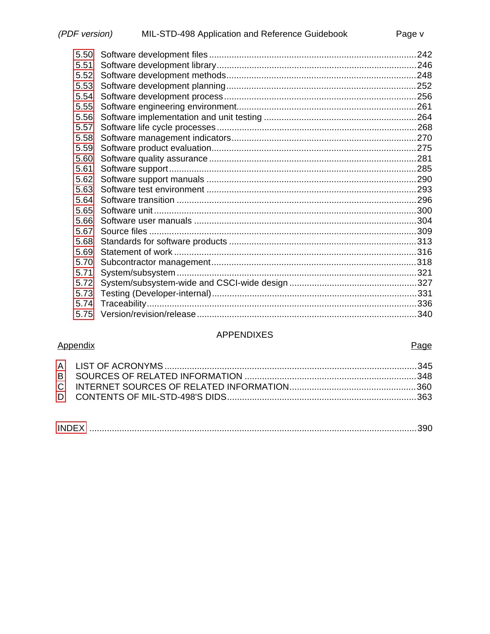| 5.50 |  |
|------|--|
| 5.51 |  |
| 5.52 |  |
| 5.53 |  |
| 5.54 |  |
| 5.55 |  |
| 5.56 |  |
| 5.57 |  |
| 5.58 |  |
| 5.59 |  |
| 5.60 |  |
| 5.61 |  |
| 5.62 |  |
| 5.63 |  |
| 5.64 |  |
| 5.65 |  |
| 5.66 |  |
| 5.67 |  |
| 5.68 |  |
| 5.69 |  |
| 5.70 |  |
| 5.71 |  |
| 5.72 |  |
| 5.73 |  |
| 5.74 |  |
| 5.75 |  |
|      |  |

# **APPENDIXES**

# Appendix

# Page

| B   SOURCES OF RELATED INFORMATION …………………………………………………………………348 |  |
|-----------------------------------------------------------------|--|
|                                                                 |  |
|                                                                 |  |
|                                                                 |  |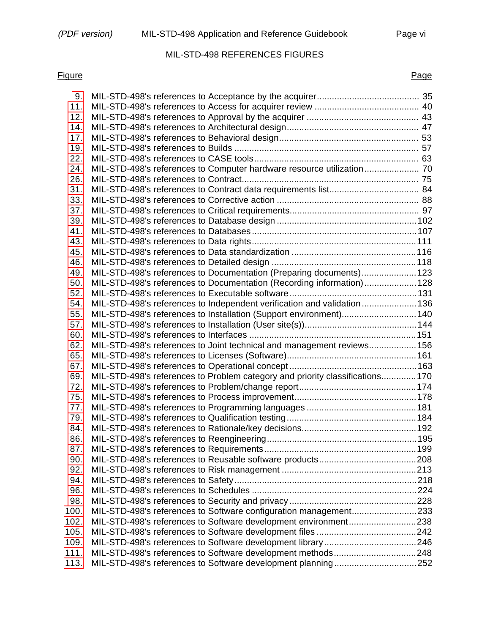# MIL-STD-498 REFERENCES FIGURES

#### Figure Page **Page 2018**

| 9.   |                                                                               |  |
|------|-------------------------------------------------------------------------------|--|
| 11.  |                                                                               |  |
| 12.  |                                                                               |  |
| 14.  |                                                                               |  |
| 17.  |                                                                               |  |
| 19.  |                                                                               |  |
| 22.  |                                                                               |  |
| 24.  | MIL-STD-498's references to Computer hardware resource utilization 70         |  |
| 26.  |                                                                               |  |
| 31.  |                                                                               |  |
| 33.  |                                                                               |  |
| 37.  |                                                                               |  |
| 39.  |                                                                               |  |
| 41.  |                                                                               |  |
| 43.  |                                                                               |  |
| 45.  |                                                                               |  |
| 46.  |                                                                               |  |
| 49.  | MIL-STD-498's references to Documentation (Preparing documents) 123           |  |
| 50.  | MIL-STD-498's references to Documentation (Recording information) 128         |  |
| 52.  |                                                                               |  |
| 54.  | MIL-STD-498's references to Independent verification and validation  136      |  |
| 55.  | MIL-STD-498's references to Installation (Support environment) 140            |  |
| 57.  |                                                                               |  |
| 60.  |                                                                               |  |
| 62.  | MIL-STD-498's references to Joint technical and management reviews 156        |  |
| 65.  |                                                                               |  |
| 67.  |                                                                               |  |
| 69.  | MIL-STD-498's references to Problem category and priority classifications 170 |  |
| 72.  |                                                                               |  |
| 75.  |                                                                               |  |
| 77.  |                                                                               |  |
| 79.  |                                                                               |  |
| 84.  |                                                                               |  |
| 86.  |                                                                               |  |
| 87.  |                                                                               |  |
| 90.  |                                                                               |  |
| 92.  |                                                                               |  |
| 94.  |                                                                               |  |
| 96.  |                                                                               |  |
| 98.  |                                                                               |  |
| 100. | MIL-STD-498's references to Software configuration management233              |  |
| 102. | MIL-STD-498's references to Software development environment238               |  |
| 105. |                                                                               |  |
| 109. |                                                                               |  |
| 111. |                                                                               |  |
| 113. |                                                                               |  |
|      |                                                                               |  |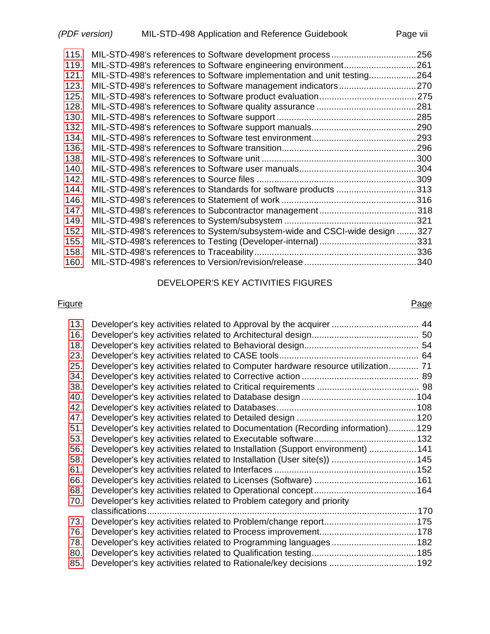| 115. | MIL-STD-498's references to Software development process                | 256         |
|------|-------------------------------------------------------------------------|-------------|
| 119. |                                                                         | 261         |
| 121. | MIL-STD-498's references to Software implementation and unit testing    | 264         |
| 123. |                                                                         | 270         |
| 125. |                                                                         | 275         |
| 128. |                                                                         | 281         |
| 130. |                                                                         | 285         |
| 132. |                                                                         | 290         |
| 134. |                                                                         | 293         |
| 136. |                                                                         | 296         |
| 138. |                                                                         | 300         |
| 140. |                                                                         | 304         |
| 142. |                                                                         | 309         |
| 144. |                                                                         | 313         |
| 146. |                                                                         |             |
| 147. |                                                                         | .318        |
| 149. |                                                                         | 321         |
| 152. | MIL-STD-498's references to System/subsystem-wide and CSCI-wide design. | $\dots$ 327 |
| 155. |                                                                         | 331         |
| 158. |                                                                         | 336         |
| 160. |                                                                         | 340         |
|      |                                                                         |             |

# DEVELOPER'S KEY ACTIVITIES FIGURES

#### Figure Page **Page 2018**

| 13. |                                                                     |                                                                                 |  |
|-----|---------------------------------------------------------------------|---------------------------------------------------------------------------------|--|
| 16. |                                                                     |                                                                                 |  |
| 18. |                                                                     |                                                                                 |  |
| 23. |                                                                     |                                                                                 |  |
| 25. |                                                                     | Developer's key activities related to Computer hardware resource utilization 71 |  |
| 34. |                                                                     |                                                                                 |  |
| 38. |                                                                     |                                                                                 |  |
| 40. |                                                                     |                                                                                 |  |
| 42. |                                                                     |                                                                                 |  |
| 47. |                                                                     |                                                                                 |  |
| 51. |                                                                     | Developer's key activities related to Documentation (Recording information)129  |  |
| 53. |                                                                     |                                                                                 |  |
| 56. |                                                                     | Developer's key activities related to Installation (Support environment)  141   |  |
| 58. |                                                                     | Developer's key activities related to Installation (User site(s)) 145           |  |
| 61. |                                                                     |                                                                                 |  |
| 66. |                                                                     |                                                                                 |  |
| 68. |                                                                     |                                                                                 |  |
| 70. | Developer's key activities related to Problem category and priority |                                                                                 |  |
|     | classifications                                                     |                                                                                 |  |
| 73. |                                                                     |                                                                                 |  |
| 76. |                                                                     |                                                                                 |  |
| 78. |                                                                     | Developer's key activities related to Programming languages 182                 |  |
| 80. |                                                                     |                                                                                 |  |
| 85. |                                                                     | Developer's key activities related to Rationale/key decisions 192               |  |
|     |                                                                     |                                                                                 |  |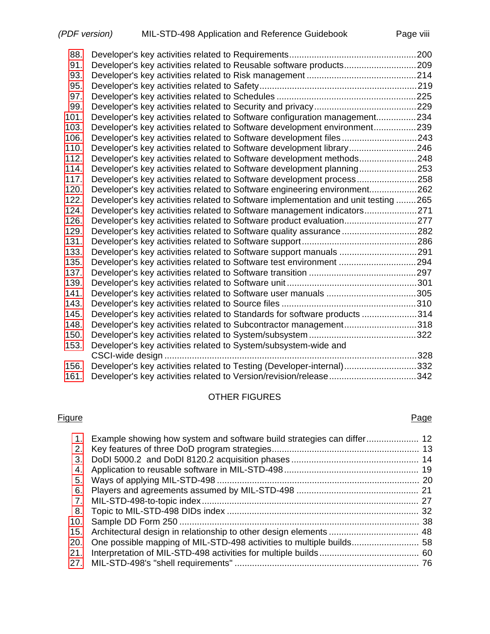| 88.  |                                                                 |                                                                                    | .200 |
|------|-----------------------------------------------------------------|------------------------------------------------------------------------------------|------|
| 91.  |                                                                 | Developer's key activities related to Reusable software products209                |      |
| 93.  |                                                                 |                                                                                    |      |
| 95.  |                                                                 |                                                                                    |      |
| 97.  |                                                                 |                                                                                    |      |
| 99.  |                                                                 |                                                                                    |      |
| 101. |                                                                 | Developer's key activities related to Software configuration management234         |      |
| 103. |                                                                 | Developer's key activities related to Software development environment239          |      |
| 106. |                                                                 | Developer's key activities related to Software development files243                |      |
| 110. |                                                                 | Developer's key activities related to Software development library246              |      |
| 112. |                                                                 | Developer's key activities related to Software development methods248              |      |
| 114. |                                                                 | Developer's key activities related to Software development planning253             |      |
| 117. |                                                                 | Developer's key activities related to Software development process258              |      |
| 120. |                                                                 | Developer's key activities related to Software engineering environment262          |      |
| 122. |                                                                 | Developer's key activities related to Software implementation and unit testing 265 |      |
| 124. |                                                                 | Developer's key activities related to Software management indicators271            |      |
| 126. |                                                                 | Developer's key activities related to Software product evaluation277               |      |
| 129. |                                                                 | Developer's key activities related to Software quality assurance 282               |      |
| 131. |                                                                 |                                                                                    |      |
| 133. |                                                                 | Developer's key activities related to Software support manuals 291                 |      |
| 135. |                                                                 | Developer's key activities related to Software test environment 294                |      |
| 137. |                                                                 |                                                                                    |      |
| 139. |                                                                 |                                                                                    |      |
| 141. |                                                                 | Developer's key activities related to Software user manuals 305                    |      |
| 143. |                                                                 |                                                                                    |      |
| 145. |                                                                 | Developer's key activities related to Standards for software products 314          |      |
| 148. |                                                                 | Developer's key activities related to Subcontractor management318                  |      |
| 150. |                                                                 |                                                                                    |      |
| 153. | Developer's key activities related to System/subsystem-wide and |                                                                                    |      |
|      | CSCI-wide design                                                |                                                                                    |      |
| 156. |                                                                 | Developer's key activities related to Testing (Developer-internal)332              |      |
| 161. |                                                                 |                                                                                    |      |

# OTHER FIGURES

| --<br><u>Figure</u> | Page |
|---------------------|------|
|                     |      |

| 1.  |  |
|-----|--|
| 2.  |  |
| 3.  |  |
| 4.  |  |
| 5.  |  |
| 6.  |  |
| 7.  |  |
| 8.  |  |
| 10. |  |
| 15. |  |
| 20. |  |
| 21. |  |
|     |  |
|     |  |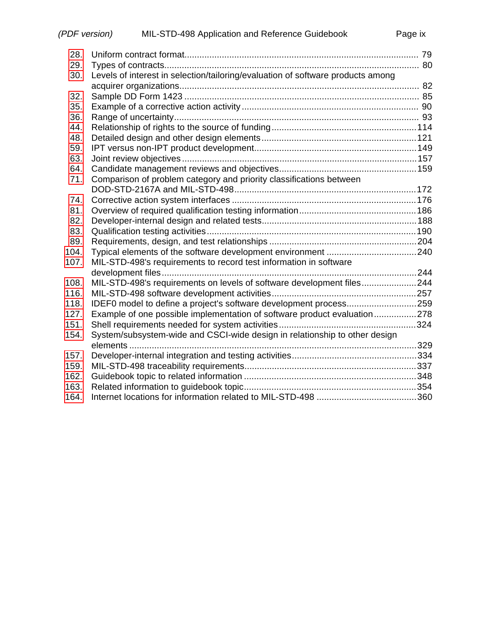| 28.  |                                                                                 |  |
|------|---------------------------------------------------------------------------------|--|
| 29.  |                                                                                 |  |
| 30.  | Levels of interest in selection/tailoring/evaluation of software products among |  |
|      |                                                                                 |  |
| 32.  |                                                                                 |  |
| 35.  |                                                                                 |  |
| 36.  |                                                                                 |  |
| 44.  |                                                                                 |  |
| 48.  |                                                                                 |  |
| 59.  |                                                                                 |  |
| 63.  |                                                                                 |  |
| 64.  |                                                                                 |  |
| 71.  | Comparison of problem category and priority classifications between             |  |
|      |                                                                                 |  |
| 74.  |                                                                                 |  |
| 81.  |                                                                                 |  |
| 82.  |                                                                                 |  |
| 83.  |                                                                                 |  |
| 89.  |                                                                                 |  |
| 104. |                                                                                 |  |
| 107. | MIL-STD-498's requirements to record test information in software               |  |
|      |                                                                                 |  |
| 108. | MIL-STD-498's requirements on levels of software development files244           |  |
| 116. |                                                                                 |  |
| 118. | IDEF0 model to define a project's software development process259               |  |
| 127. | Example of one possible implementation of software product evaluation278        |  |
| 151. |                                                                                 |  |
| 154. | System/subsystem-wide and CSCI-wide design in relationship to other design      |  |
|      | elements                                                                        |  |
| 157. |                                                                                 |  |
| 159. |                                                                                 |  |
| 162. |                                                                                 |  |
| 163. |                                                                                 |  |
| 164. |                                                                                 |  |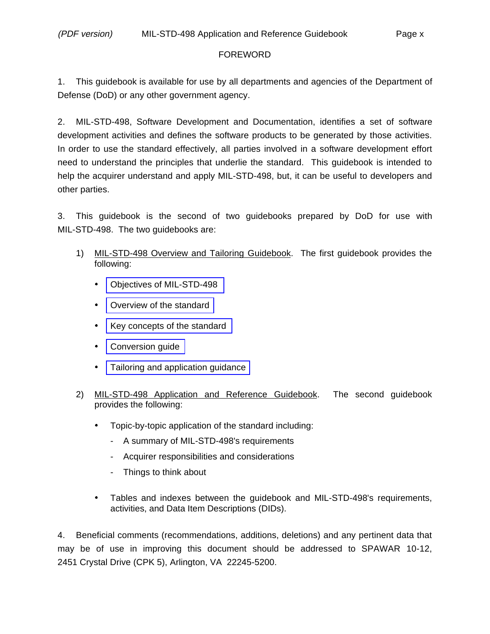#### FOREWORD

<span id="page-9-0"></span>1. This guidebook is available for use by all departments and agencies of the Department of Defense (DoD) or any other government agency.

2. MIL-STD-498, Software Development and Documentation, identifies a set of software development activities and defines the software products to be generated by those activities. In order to use the standard effectively, all parties involved in a software development effort need to understand the principles that underlie the standard. This guidebook is intended to help the acquirer understand and apply MIL-STD-498, but, it can be useful to developers and other parties.

3. This guidebook is the second of two guidebooks prepared by DoD for use with MIL-STD-498. The two guidebooks are:

- 1) MIL-STD-498 Overview and Tailoring Guidebook. The first guidebook provides the following:
	- [Objectives of MIL-STD-498](#page-18-1)
	- [Overview of the standard](#page-21-0)
	- [Key concepts of the standard](#page-31-3)
	- [Conversion guide](#page-46-0)
	- [Tailoring and application guidance](#page-50-0)
- 2) MIL-STD-498 Application and Reference Guidebook. The second guidebook provides the following:
	- Topic-by-topic application of the standard including:
		- A summary of MIL-STD-498's requirements
		- Acquirer responsibilities and considerations
		- Things to think about
	- Tables and indexes between the guidebook and MIL-STD-498's requirements, activities, and Data Item Descriptions (DIDs).

4. Beneficial comments (recommendations, additions, deletions) and any pertinent data that may be of use in improving this document should be addressed to SPAWAR 10-12, 2451 Crystal Drive (CPK 5), Arlington, VA 22245-5200.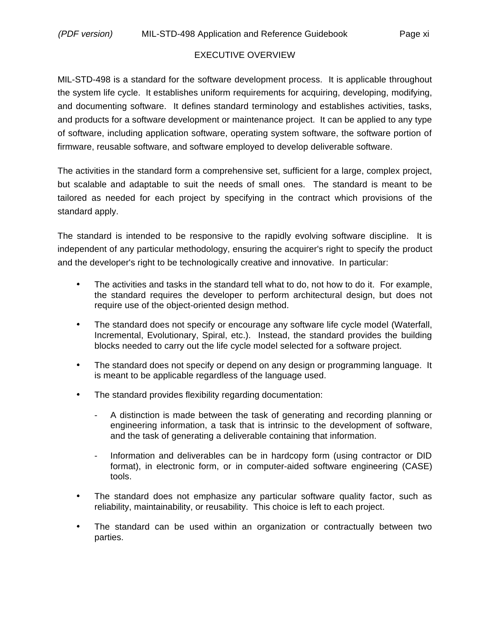# EXECUTIVE OVERVIEW

<span id="page-10-1"></span><span id="page-10-0"></span>MIL-STD-498 is a standard for the software development process. It is applicable throughout the system life cycle. It establishes uniform requirements for acquiring, developing, modifying, and documenting software. It defines standard terminology and establishes activities, tasks, and products for a software development or maintenance project. It can be applied to any type of software, including application software, operating system software, the software portion of firmware, reusable software, and software employed to develop deliverable software.

The activities in the standard form a comprehensive set, sufficient for a large, complex project, but scalable and adaptable to suit the needs of small ones. The standard is meant to be tailored as needed for each project by specifying in the contract which provisions of the standard apply.

The standard is intended to be responsive to the rapidly evolving software discipline. It is independent of any particular methodology, ensuring the acquirer's right to specify the product and the developer's right to be technologically creative and innovative. In particular:

- The activities and tasks in the standard tell what to do, not how to do it. For example, the standard requires the developer to perform architectural design, but does not require use of the object-oriented design method.
- The standard does not specify or encourage any software life cycle model (Waterfall, Incremental, Evolutionary, Spiral, etc.). Instead, the standard provides the building blocks needed to carry out the life cycle model selected for a software project.
- The standard does not specify or depend on any design or programming language. It is meant to be applicable regardless of the language used.
- The standard provides flexibility regarding documentation:
	- A distinction is made between the task of generating and recording planning or engineering information, a task that is intrinsic to the development of software, and the task of generating a deliverable containing that information.
	- Information and deliverables can be in hardcopy form (using contractor or DID format), in electronic form, or in computer-aided software engineering (CASE) tools.
- The standard does not emphasize any particular software quality factor, such as reliability, maintainability, or reusability. This choice is left to each project.
- The standard can be used within an organization or contractually between two parties.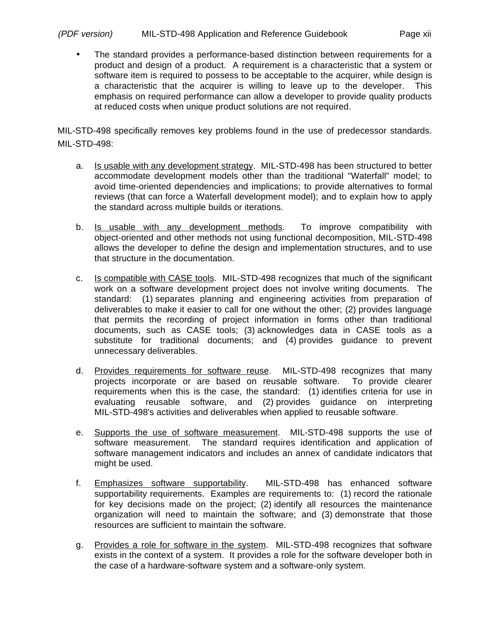The standard provides a performance-based distinction between requirements for a product and design of a product. A requirement is a characteristic that a system or software item is required to possess to be acceptable to the acquirer, while design is a characteristic that the acquirer is willing to leave up to the developer. This emphasis on required performance can allow a developer to provide quality products at reduced costs when unique product solutions are not required.

MIL-STD-498 specifically removes key problems found in the use of predecessor standards. MIL-STD-498:

- a. Is usable with any development strategy. MIL-STD-498 has been structured to better accommodate development models other than the traditional "Waterfall" model; to avoid time-oriented dependencies and implications; to provide alternatives to formal reviews (that can force a Waterfall development model); and to explain how to apply the standard across multiple builds or iterations.
- b. Is usable with any development methods. To improve compatibility with object-oriented and other methods not using functional decomposition, MIL-STD-498 allows the developer to define the design and implementation structures, and to use that structure in the documentation.
- c. Is compatible with CASE tools. MIL-STD-498 recognizes that much of the significant work on a software development project does not involve writing documents. The standard: (1) separates planning and engineering activities from preparation of deliverables to make it easier to call for one without the other; (2) provides language that permits the recording of project information in forms other than traditional documents, such as CASE tools; (3) acknowledges data in CASE tools as a substitute for traditional documents; and (4) provides guidance to prevent unnecessary deliverables.
- d. Provides requirements for software reuse. MIL-STD-498 recognizes that many projects incorporate or are based on reusable software. To provide clearer requirements when this is the case, the standard: (1) identifies criteria for use in evaluating reusable software, and (2) provides guidance on interpreting MIL-STD-498's activities and deliverables when applied to reusable software.
- e. Supports the use of software measurement. MIL-STD-498 supports the use of software measurement. The standard requires identification and application of software management indicators and includes an annex of candidate indicators that might be used.
- f. Emphasizes software supportability. MIL-STD-498 has enhanced software supportability requirements. Examples are requirements to: (1) record the rationale for key decisions made on the project; (2) identify all resources the maintenance organization will need to maintain the software; and (3) demonstrate that those resources are sufficient to maintain the software.
- g. Provides a role for software in the system. MIL-STD-498 recognizes that software exists in the context of a system. It provides a role for the software developer both in the case of a hardware-software system and a software-only system.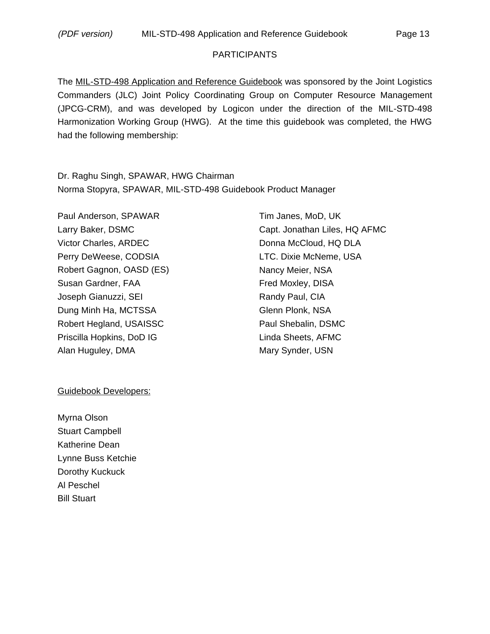<span id="page-12-0"></span>

# PARTICIPANTS

The MIL-STD-498 Application and Reference Guidebook was sponsored by the Joint Logistics Commanders (JLC) Joint Policy Coordinating Group on Computer Resource Management (JPCG-CRM), and was developed by Logicon under the direction of the MIL-STD-498 Harmonization Working Group (HWG). At the time this guidebook was completed, the HWG had the following membership:

Dr. Raghu Singh, SPAWAR, HWG Chairman Norma Stopyra, SPAWAR, MIL-STD-498 Guidebook Product Manager

Paul Anderson, SPAWAR Larry Baker, DSMC Victor Charles, ARDEC Perry DeWeese, CODSIA Robert Gagnon, OASD (ES) Susan Gardner, FAA Joseph Gianuzzi, SEI Dung Minh Ha, MCTSSA Robert Hegland, USAISSC Priscilla Hopkins, DoD IG Alan Huguley, DMA

# Tim Janes, MoD, UK Capt. Jonathan Liles, HQ AFMC Donna McCloud, HQ DLA LTC. Dixie McNeme, USA Nancy Meier, NSA Fred Moxley, DISA Randy Paul, CIA Glenn Plonk, NSA Paul Shebalin, DSMC Linda Sheets, AFMC Mary Synder, USN

# Guidebook Developers:

Myrna Olson Stuart Campbell Katherine Dean Lynne Buss Ketchie Dorothy Kuckuck Al Peschel Bill Stuart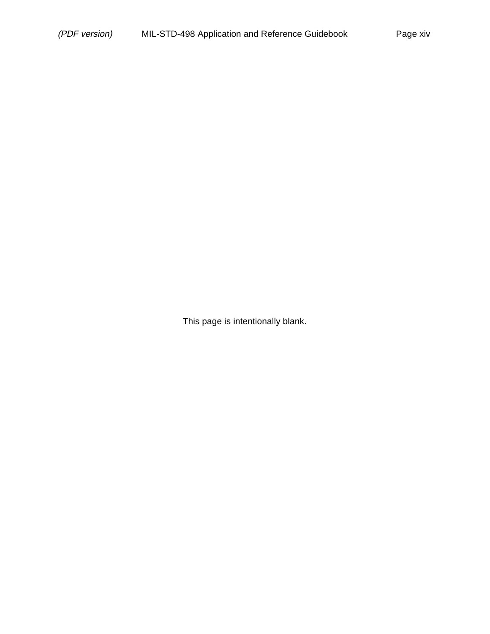<span id="page-13-0"></span>This page is intentionally blank.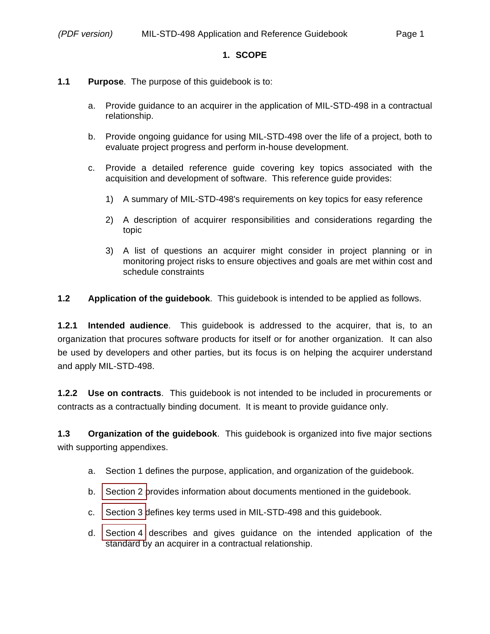## **1. SCOPE**

- <span id="page-14-0"></span>**1.1 Purpose**. The purpose of this guidebook is to:
	- a. Provide guidance to an acquirer in the application of MIL-STD-498 in a contractual relationship.
	- b. Provide ongoing guidance for using MIL-STD-498 over the life of a project, both to evaluate project progress and perform in-house development.
	- c. Provide a detailed reference guide covering key topics associated with the acquisition and development of software. This reference guide provides:
		- 1) A summary of MIL-STD-498's requirements on key topics for easy reference
		- 2) A description of acquirer responsibilities and considerations regarding the topic
		- 3) A list of questions an acquirer might consider in project planning or in monitoring project risks to ensure objectives and goals are met within cost and schedule constraints
- <span id="page-14-1"></span>**1.2 Application of the guidebook**. This guidebook is intended to be applied as follows.

**1.2.1 Intended audience**. This guidebook is addressed to the acquirer, that is, to an organization that procures software products for itself or for another organization. It can also be used by developers and other parties, but its focus is on helping the acquirer understand and apply MIL-STD-498.

**1.2.2 Use on contracts**. This guidebook is not intended to be included in procurements or contracts as a contractually binding document. It is meant to provide guidance only.

**1.3 Organization of the guidebook**. This guidebook is organized into five major sections with supporting appendixes.

- a. Section 1 defines the purpose, application, and organization of the guidebook.
- b. [Section 2 p](#page-16-2)rovides information about documents mentioned in the guidebook.
- c. [Section 3 d](#page-18-1)efines key terms used in MIL-STD-498 and this guidebook.
- d. [Section 4](#page-24-3) describes and gives guidance on the intended application of the standard by an acquirer in a contractual relationship.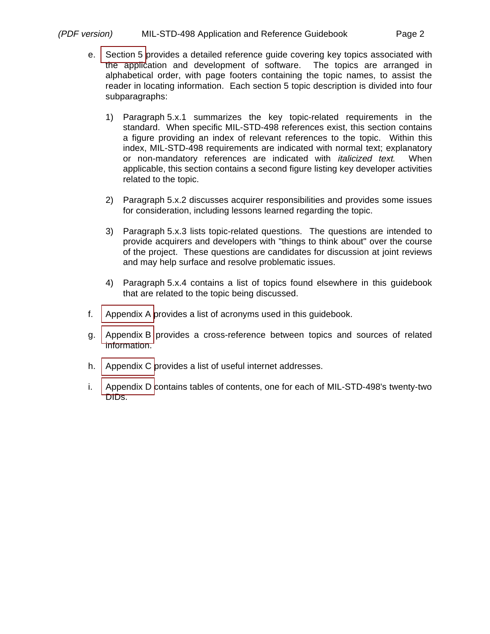- 
- <span id="page-15-0"></span>e. [Section 5](#page-0-0) provides a detailed reference guide covering key topics associated with the application and development of software. The topics are arranged in alphabetical order, with page footers containing the topic names, to assist the reader in locating information. Each section 5 topic description is divided into four subparagraphs:
	- 1) Paragraph 5.x.1 summarizes the key topic-related requirements in the standard. When specific MIL-STD-498 references exist, this section contains a figure providing an index of relevant references to the topic. Within this index, MIL-STD-498 requirements are indicated with normal text; explanatory or non-mandatory references are indicated with *italicized text*. When applicable, this section contains a second figure listing key developer activities related to the topic.
	- 2) Paragraph 5.x.2 discusses acquirer responsibilities and provides some issues for consideration, including lessons learned regarding the topic.
	- 3) Paragraph 5.x.3 lists topic-related questions. The questions are intended to provide acquirers and developers with "things to think about" over the course of the project. These questions are candidates for discussion at joint reviews and may help surface and resolve problematic issues.
	- 4) Paragraph 5.x.4 contains a list of topics found elsewhere in this guidebook that are related to the topic being discussed.
- f. [Appendix A p](#page-0-0)rovides a list of acronyms used in this guidebook.
- g. [Appendix B](#page-3-0) provides a cross-reference between topics and sources of related information.
- h. Appendix C provides a list of useful internet addresses.
- i. [Appendix D c](#page-18-1)ontains tables of contents, one for each of MIL-STD-498's twenty-two DIDs.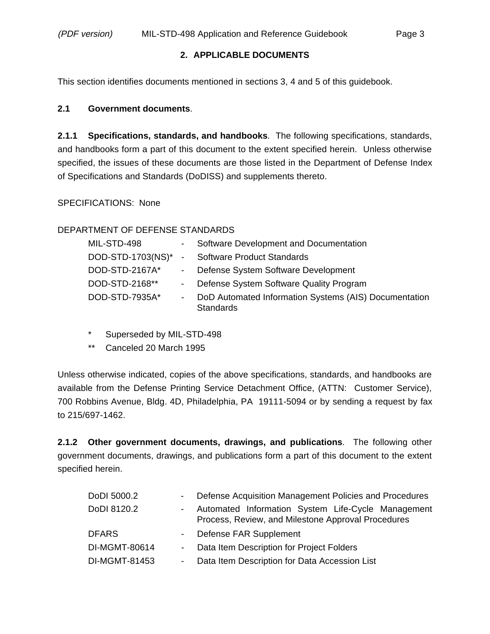#### **2. APPLICABLE DOCUMENTS**

<span id="page-16-2"></span><span id="page-16-0"></span>This section identifies documents mentioned in sections 3, 4 and 5 of this guidebook.

# **2.1 Government documents**.

**2.1.1 Specifications, standards, and handbooks**. The following specifications, standards, and handbooks form a part of this document to the extent specified herein. Unless otherwise specified, the issues of these documents are those listed in the Department of Defense Index of Specifications and Standards (DoDISS) and supplements thereto.

# SPECIFICATIONS: None

# <span id="page-16-1"></span>DEPARTMENT OF DEFENSE STANDARDS

| MIL-STD-498       | $\sim 100$ | Software Development and Documentation                                    |
|-------------------|------------|---------------------------------------------------------------------------|
| DOD-STD-1703(NS)* | $\sim 100$ | <b>Software Product Standards</b>                                         |
| DOD-STD-2167A*    | $\sim 100$ | Defense System Software Development                                       |
| DOD-STD-2168**    |            | - Defense System Software Quality Program                                 |
| DOD-STD-7935A*    | $\sim$     | DoD Automated Information Systems (AIS) Documentation<br><b>Standards</b> |

- \* Superseded by MIL-STD-498
- \*\* Canceled 20 March 1995

Unless otherwise indicated, copies of the above specifications, standards, and handbooks are available from the Defense Printing Service Detachment Office, (ATTN: Customer Service), 700 Robbins Avenue, Bldg. 4D, Philadelphia, PA 19111-5094 or by sending a request by fax to 215/697-1462.

**2.1.2 Other government documents, drawings, and publications**. The following other government documents, drawings, and publications form a part of this document to the extent specified herein.

| DoDI 5000.2   | $\sim 100$ | Defense Acquisition Management Policies and Procedures                                                     |
|---------------|------------|------------------------------------------------------------------------------------------------------------|
| DoDI 8120.2   |            | - Automated Information System Life-Cycle Management<br>Process, Review, and Milestone Approval Procedures |
| <b>DFARS</b>  | $\sim 100$ | Defense FAR Supplement                                                                                     |
| DI-MGMT-80614 | $\sim 100$ | Data Item Description for Project Folders                                                                  |
| DI-MGMT-81453 | $\sim 100$ | Data Item Description for Data Accession List                                                              |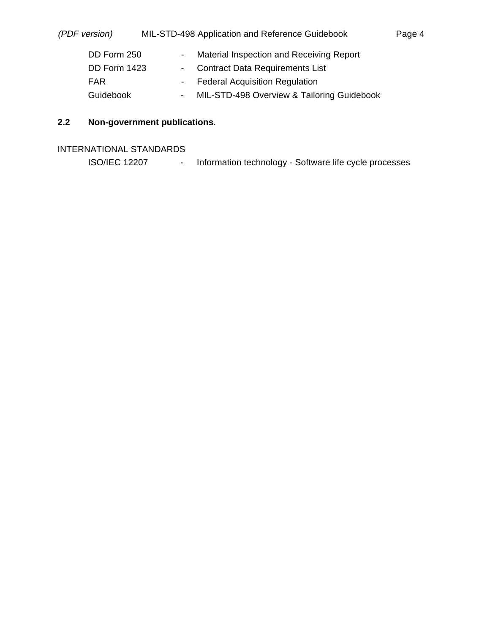<span id="page-17-0"></span>

| DD Form 250  | Material Inspection and Receiving Report   |
|--------------|--------------------------------------------|
| DD Form 1423 | - Contract Data Requirements List          |
| FAR          | - Federal Acquisition Regulation           |
| Guidebook    | MIL-STD-498 Overview & Tailoring Guidebook |

### **2.2 Non-government publications**.

#### INTERNATIONAL STANDARDS

ISO/IEC 12207 - Information technology - Software life cycle processes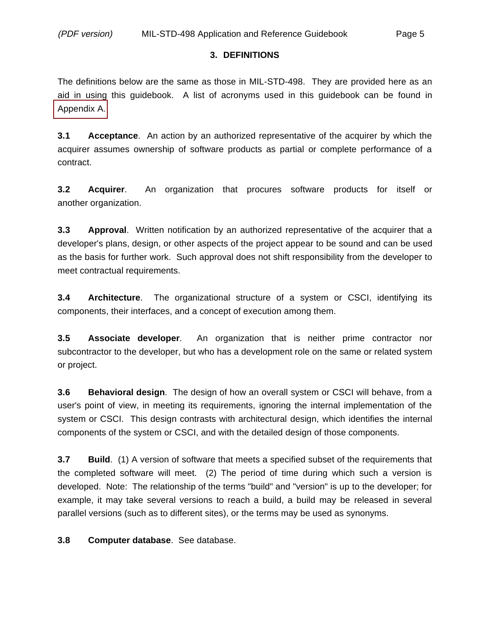#### **3. DEFINITIONS**

<span id="page-18-1"></span><span id="page-18-0"></span>The definitions below are the same as those in MIL-STD-498. They are provided here as an aid in using this guidebook. A list of acronyms used in this guidebook can be found in [Appendix A.](#page-0-0)

**3.1 Acceptance**. An action by an authorized representative of the acquirer by which the acquirer assumes ownership of software products as partial or complete performance of a contract.

**3.2 Acquirer**. An organization that procures software products for itself or another organization.

**3.3 Approval**. Written notification by an authorized representative of the acquirer that a developer's plans, design, or other aspects of the project appear to be sound and can be used as the basis for further work. Such approval does not shift responsibility from the developer to meet contractual requirements.

**3.4 Architecture**. The organizational structure of a system or CSCI, identifying its components, their interfaces, and a concept of execution among them.

**3.5 Associate developer**. An organization that is neither prime contractor nor subcontractor to the developer, but who has a development role on the same or related system or project.

**3.6 Behavioral design**. The design of how an overall system or CSCI will behave, from a user's point of view, in meeting its requirements, ignoring the internal implementation of the system or CSCI. This design contrasts with architectural design, which identifies the internal components of the system or CSCI, and with the detailed design of those components.

**3.7** Build. (1) A version of software that meets a specified subset of the requirements that the completed software will meet. (2) The period of time during which such a version is developed. Note: The relationship of the terms "build" and "version" is up to the developer; for example, it may take several versions to reach a build, a build may be released in several parallel versions (such as to different sites), or the terms may be used as synonyms.

**3.8 Computer database**. See database.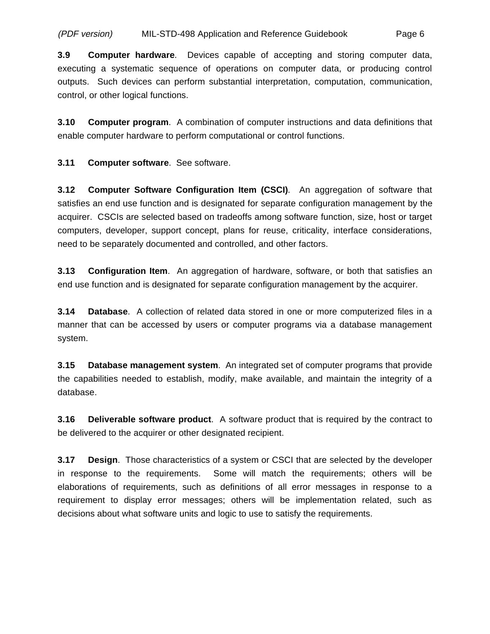<span id="page-19-0"></span>**3.9 Computer hardware**. Devices capable of accepting and storing computer data, executing a systematic sequence of operations on computer data, or producing control outputs. Such devices can perform substantial interpretation, computation, communication, control, or other logical functions.

**3.10 Computer program**. A combination of computer instructions and data definitions that enable computer hardware to perform computational or control functions.

**3.11 Computer software**. See software.

**3.12 Computer Software Configuration Item (CSCI)**. An aggregation of software that satisfies an end use function and is designated for separate configuration management by the acquirer. CSCIs are selected based on tradeoffs among software function, size, host or target computers, developer, support concept, plans for reuse, criticality, interface considerations, need to be separately documented and controlled, and other factors.

**3.13 Configuration Item**. An aggregation of hardware, software, or both that satisfies an end use function and is designated for separate configuration management by the acquirer.

**3.14 Database**. A collection of related data stored in one or more computerized files in a manner that can be accessed by users or computer programs via a database management system.

**3.15 Database management system**. An integrated set of computer programs that provide the capabilities needed to establish, modify, make available, and maintain the integrity of a database.

**3.16 Deliverable software product**. A software product that is required by the contract to be delivered to the acquirer or other designated recipient.

**3.17 Design**. Those characteristics of a system or CSCI that are selected by the developer in response to the requirements. Some will match the requirements; others will be elaborations of requirements, such as definitions of all error messages in response to a requirement to display error messages; others will be implementation related, such as decisions about what software units and logic to use to satisfy the requirements.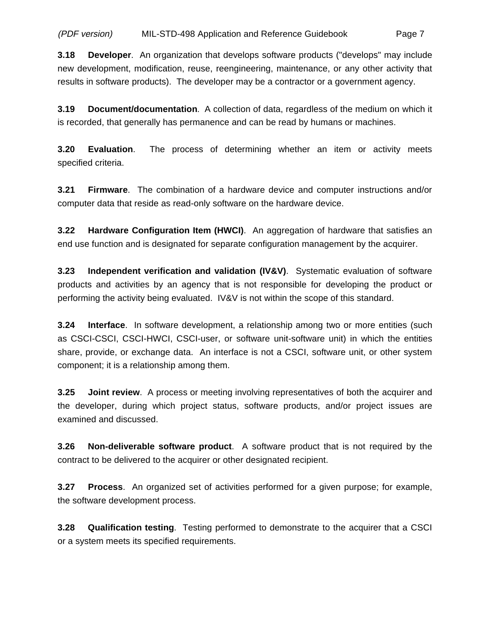**3.18 Developer**. An organization that develops software products ("develops" may include new development, modification, reuse, reengineering, maintenance, or any other activity that results in software products). The developer may be a contractor or a government agency.

**3.19 Document/documentation**. A collection of data, regardless of the medium on which it is recorded, that generally has permanence and can be read by humans or machines.

**3.20 Evaluation**. The process of determining whether an item or activity meets specified criteria.

**3.21 Firmware**. The combination of a hardware device and computer instructions and/or computer data that reside as read-only software on the hardware device.

**3.22 Hardware Configuration Item (HWCI)**. An aggregation of hardware that satisfies an end use function and is designated for separate configuration management by the acquirer.

**3.23 Independent verification and validation (IV&V)**. Systematic evaluation of software products and activities by an agency that is not responsible for developing the product or performing the activity being evaluated. IV&V is not within the scope of this standard.

**3.24 Interface**. In software development, a relationship among two or more entities (such as CSCI-CSCI, CSCI-HWCI, CSCI-user, or software unit-software unit) in which the entities share, provide, or exchange data. An interface is not a CSCI, software unit, or other system component; it is a relationship among them.

**3.25 Joint review**. A process or meeting involving representatives of both the acquirer and the developer, during which project status, software products, and/or project issues are examined and discussed.

**3.26 Non-deliverable software product**. A software product that is not required by the contract to be delivered to the acquirer or other designated recipient.

**3.27 Process**. An organized set of activities performed for a given purpose; for example, the software development process.

**3.28 Qualification testing**. Testing performed to demonstrate to the acquirer that a CSCI or a system meets its specified requirements.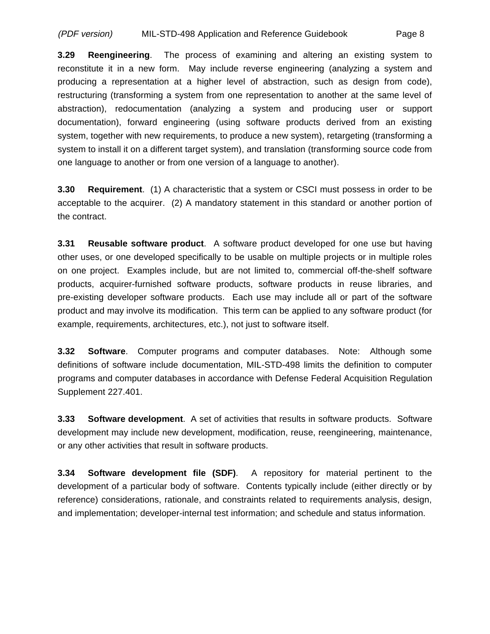<span id="page-21-0"></span>**3.29 Reengineering**. The process of examining and altering an existing system to reconstitute it in a new form. May include reverse engineering (analyzing a system and producing a representation at a higher level of abstraction, such as design from code), restructuring (transforming a system from one representation to another at the same level of abstraction), redocumentation (analyzing a system and producing user or support documentation), forward engineering (using software products derived from an existing system, together with new requirements, to produce a new system), retargeting (transforming a system to install it on a different target system), and translation (transforming source code from one language to another or from one version of a language to another).

**3.30 Requirement**. (1) A characteristic that a system or CSCI must possess in order to be acceptable to the acquirer. (2) A mandatory statement in this standard or another portion of the contract.

**3.31 Reusable software product**. A software product developed for one use but having other uses, or one developed specifically to be usable on multiple projects or in multiple roles on one project. Examples include, but are not limited to, commercial off-the-shelf software products, acquirer-furnished software products, software products in reuse libraries, and pre-existing developer software products. Each use may include all or part of the software product and may involve its modification. This term can be applied to any software product (for example, requirements, architectures, etc.), not just to software itself.

**3.32 Software**. Computer programs and computer databases. Note: Although some definitions of software include documentation, MIL-STD-498 limits the definition to computer programs and computer databases in accordance with Defense Federal Acquisition Regulation Supplement 227.401.

**3.33 Software development**. A set of activities that results in software products. Software development may include new development, modification, reuse, reengineering, maintenance, or any other activities that result in software products.

**3.34 Software development file (SDF)**. A repository for material pertinent to the development of a particular body of software. Contents typically include (either directly or by reference) considerations, rationale, and constraints related to requirements analysis, design, and implementation; developer-internal test information; and schedule and status information.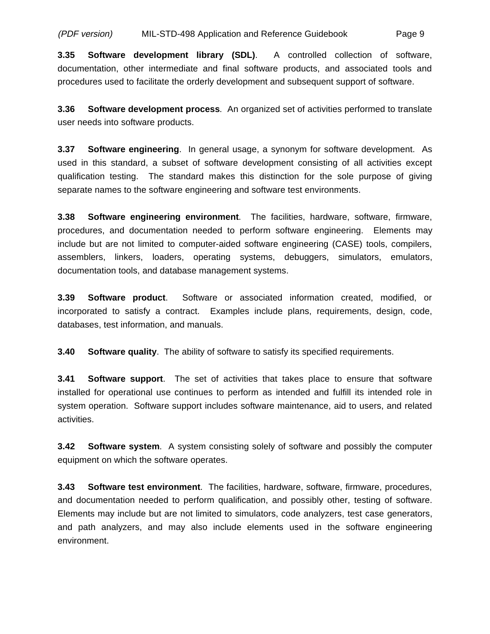<span id="page-22-0"></span>**3.35 Software development library (SDL)**. A controlled collection of software, documentation, other intermediate and final software products, and associated tools and procedures used to facilitate the orderly development and subsequent support of software.

**3.36 Software development process**. An organized set of activities performed to translate user needs into software products.

**3.37 Software engineering**. In general usage, a synonym for software development. As used in this standard, a subset of software development consisting of all activities except qualification testing. The standard makes this distinction for the sole purpose of giving separate names to the software engineering and software test environments.

**3.38 Software engineering environment**. The facilities, hardware, software, firmware, procedures, and documentation needed to perform software engineering. Elements may include but are not limited to computer-aided software engineering (CASE) tools, compilers, assemblers, linkers, loaders, operating systems, debuggers, simulators, emulators, documentation tools, and database management systems.

**3.39 Software product**. Software or associated information created, modified, or incorporated to satisfy a contract. Examples include plans, requirements, design, code, databases, test information, and manuals.

**3.40 Software quality**. The ability of software to satisfy its specified requirements.

**3.41 Software support**. The set of activities that takes place to ensure that software installed for operational use continues to perform as intended and fulfill its intended role in system operation. Software support includes software maintenance, aid to users, and related activities.

**3.42 Software system**. A system consisting solely of software and possibly the computer equipment on which the software operates.

**3.43 Software test environment**. The facilities, hardware, software, firmware, procedures, and documentation needed to perform qualification, and possibly other, testing of software. Elements may include but are not limited to simulators, code analyzers, test case generators, and path analyzers, and may also include elements used in the software engineering environment.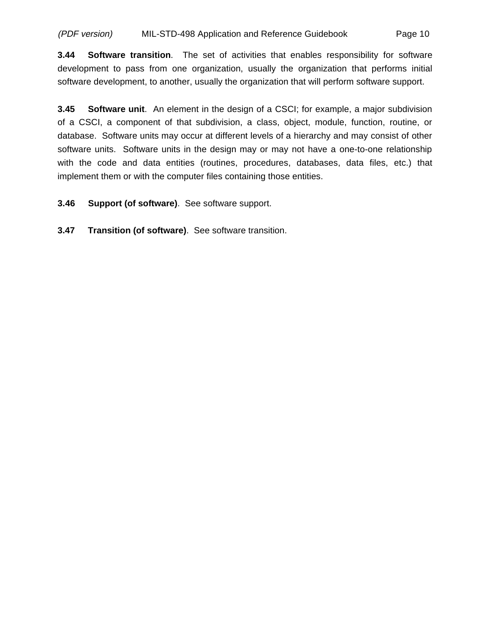<span id="page-23-0"></span>**3.44 Software transition**. The set of activities that enables responsibility for software development to pass from one organization, usually the organization that performs initial software development, to another, usually the organization that will perform software support.

**3.45 Software unit**. An element in the design of a CSCI; for example, a major subdivision of a CSCI, a component of that subdivision, a class, object, module, function, routine, or database. Software units may occur at different levels of a hierarchy and may consist of other software units. Software units in the design may or may not have a one-to-one relationship with the code and data entities (routines, procedures, databases, data files, etc.) that implement them or with the computer files containing those entities.

**3.46 Support (of software)**. See software support.

**3.47 Transition (of software)**. See software transition.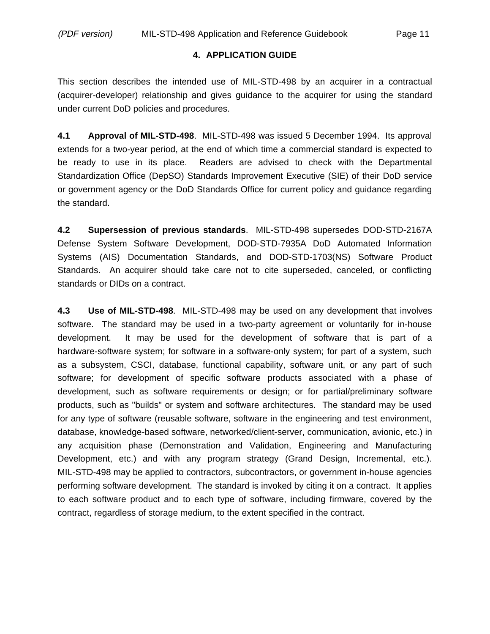#### **4. APPLICATION GUIDE**

<span id="page-24-3"></span><span id="page-24-0"></span>This section describes the intended use of MIL-STD-498 by an acquirer in a contractual (acquirer-developer) relationship and gives guidance to the acquirer for using the standard under current DoD policies and procedures.

**4.1 Approval of MIL-STD-498**. MIL-STD-498 was issued 5 December 1994. Its approval extends for a two-year period, at the end of which time a commercial standard is expected to be ready to use in its place. Readers are advised to check with the Departmental Standardization Office (DepSO) Standards Improvement Executive (SIE) of their DoD service or government agency or the DoD Standards Office for current policy and guidance regarding the standard.

<span id="page-24-2"></span><span id="page-24-1"></span>**4.2 Supersession of previous standards**. MIL-STD-498 supersedes DOD-STD-2167A Defense System Software Development, DOD-STD-7935A DoD Automated Information Systems (AIS) Documentation Standards, and DOD-STD-1703(NS) Software Product Standards. An acquirer should take care not to cite superseded, canceled, or conflicting standards or DIDs on a contract.

**4.3 Use of MIL-STD-498**. MIL-STD-498 may be used on any development that involves software. The standard may be used in a two-party agreement or voluntarily for in-house development. It may be used for the development of software that is part of a hardware-software system; for software in a software-only system; for part of a system, such as a subsystem, CSCI, database, functional capability, software unit, or any part of such software; for development of specific software products associated with a phase of development, such as software requirements or design; or for partial/preliminary software products, such as "builds" or system and software architectures. The standard may be used for any type of software (reusable software, software in the engineering and test environment, database, knowledge-based software, networked/client-server, communication, avionic, etc.) in any acquisition phase (Demonstration and Validation, Engineering and Manufacturing Development, etc.) and with any program strategy (Grand Design, Incremental, etc.). MIL-STD-498 may be applied to contractors, subcontractors, or government in-house agencies performing software development. The standard is invoked by citing it on a contract. It applies to each software product and to each type of software, including firmware, covered by the contract, regardless of storage medium, to the extent specified in the contract.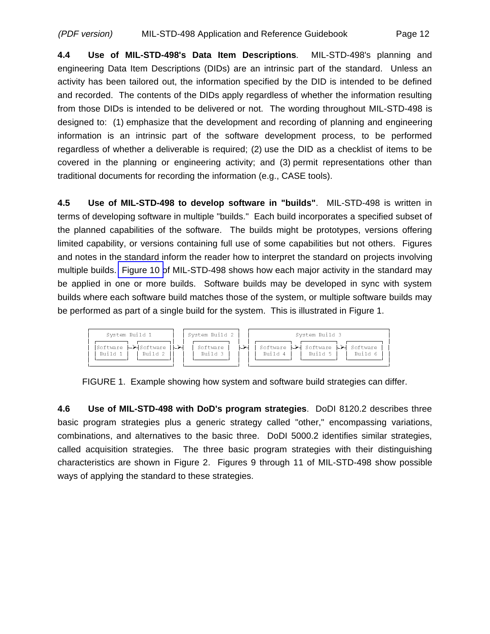<span id="page-25-3"></span><span id="page-25-0"></span>**4.4 Use of MIL-STD-498's Data Item Descriptions**. MIL-STD-498's planning and engineering Data Item Descriptions (DIDs) are an intrinsic part of the standard. Unless an activity has been tailored out, the information specified by the DID is intended to be defined and recorded. The contents of the DIDs apply regardless of whether the information resulting from those DIDs is intended to be delivered or not. The wording throughout MIL-STD-498 is designed to: (1) emphasize that the development and recording of planning and engineering information is an intrinsic part of the software development process, to be performed regardless of whether a deliverable is required; (2) use the DID as a checklist of items to be covered in the planning or engineering activity; and (3) permit representations other than traditional documents for recording the information (e.g., CASE tools).

<span id="page-25-4"></span><span id="page-25-2"></span><span id="page-25-1"></span>**4.5 Use of MIL-STD-498 to develop software in "builds"**. MIL-STD-498 is written in terms of developing software in multiple "builds." Each build incorporates a specified subset of the planned capabilities of the software. The builds might be prototypes, versions offering limited capability, or versions containing full use of some capabilities but not others. Figures and notes in the standard inform the reader how to interpret the standard on projects involving multiple builds. [Figure 10 o](#page-58-0)f MIL-STD-498 shows how each major activity in the standard may be applied in one or more builds. Software builds may be developed in sync with system builds where each software build matches those of the system, or multiple software builds may be performed as part of a single build for the system. This is illustrated in Figure 1.



FIGURE 1. Example showing how system and software build strategies can differ.

**4.6 Use of MIL-STD-498 with DoD's program strategies**. DoDI 8120.2 describes three basic program strategies plus a generic strategy called "other," encompassing variations, combinations, and alternatives to the basic three. DoDI 5000.2 identifies similar strategies, called acquisition strategies. The three basic program strategies with their distinguishing characteristics are shown in Figure 2. Figures 9 through 11 of MIL-STD-498 show possible ways of applying the standard to these strategies.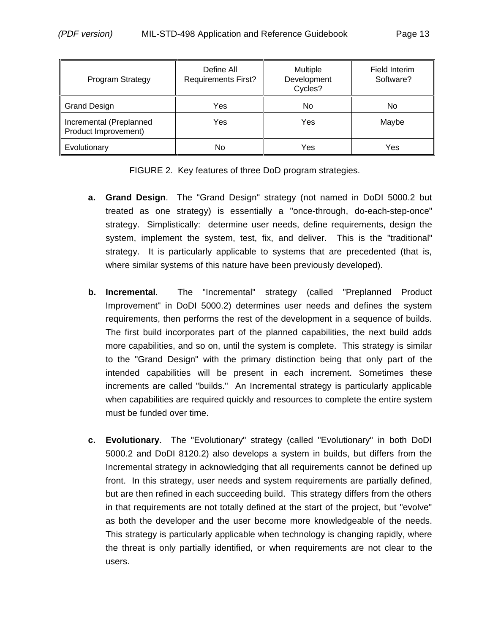<span id="page-26-0"></span>

| Program Strategy                                | Define All<br><b>Requirements First?</b> | <b>Multiple</b><br>Development<br>Cycles? | Field Interim<br>Software? |
|-------------------------------------------------|------------------------------------------|-------------------------------------------|----------------------------|
| <b>Grand Design</b>                             | Yes                                      | No                                        | No                         |
| Incremental (Preplanned<br>Product Improvement) | Yes                                      | Yes                                       | Maybe                      |
| Evolutionary                                    | No                                       | Yes                                       | Yes                        |

FIGURE 2. Key features of three DoD program strategies.

- **a. Grand Design**. The "Grand Design" strategy (not named in DoDI 5000.2 but treated as one strategy) is essentially a "once-through, do-each-step-once" strategy. Simplistically: determine user needs, define requirements, design the system, implement the system, test, fix, and deliver. This is the "traditional" strategy. It is particularly applicable to systems that are precedented (that is, where similar systems of this nature have been previously developed).
- **b. Incremental**. The "Incremental" strategy (called "Preplanned Product Improvement" in DoDI 5000.2) determines user needs and defines the system requirements, then performs the rest of the development in a sequence of builds. The first build incorporates part of the planned capabilities, the next build adds more capabilities, and so on, until the system is complete. This strategy is similar to the "Grand Design" with the primary distinction being that only part of the intended capabilities will be present in each increment. Sometimes these increments are called "builds." An Incremental strategy is particularly applicable when capabilities are required quickly and resources to complete the entire system must be funded over time.
- **c. Evolutionary**. The "Evolutionary" strategy (called "Evolutionary" in both DoDI 5000.2 and DoDI 8120.2) also develops a system in builds, but differs from the Incremental strategy in acknowledging that all requirements cannot be defined up front. In this strategy, user needs and system requirements are partially defined, but are then refined in each succeeding build. This strategy differs from the others in that requirements are not totally defined at the start of the project, but "evolve" as both the developer and the user become more knowledgeable of the needs. This strategy is particularly applicable when technology is changing rapidly, where the threat is only partially identified, or when requirements are not clear to the users.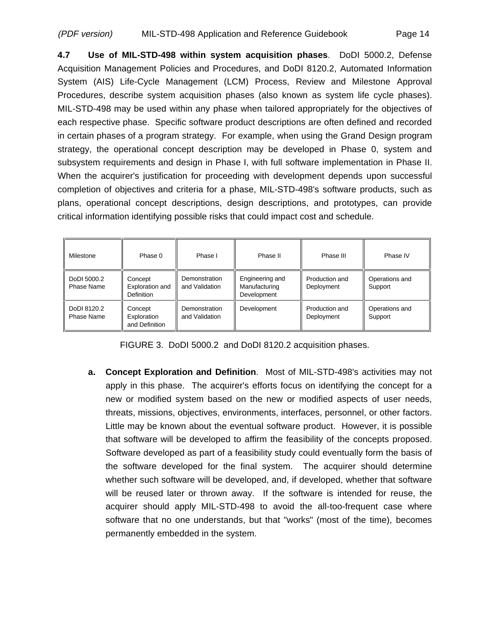<span id="page-27-1"></span><span id="page-27-0"></span>**4.7 Use of MIL-STD-498 within system acquisition phases**. DoDI 5000.2, Defense Acquisition Management Policies and Procedures, and DoDI 8120.2, Automated Information System (AIS) Life-Cycle Management (LCM) Process, Review and Milestone Approval Procedures, describe system acquisition phases (also known as system life cycle phases). MIL-STD-498 may be used within any phase when tailored appropriately for the objectives of each respective phase. Specific software product descriptions are often defined and recorded in certain phases of a program strategy. For example, when using the Grand Design program strategy, the operational concept description may be developed in Phase 0, system and subsystem requirements and design in Phase I, with full software implementation in Phase II. When the acquirer's justification for proceeding with development depends upon successful completion of objectives and criteria for a phase, MIL-STD-498's software products, such as plans, operational concept descriptions, design descriptions, and prototypes, can provide critical information identifying possible risks that could impact cost and schedule.

| Milestone                 | Phase 0                                  | Phase I                         | Phase II                                        | Phase III                    | Phase IV                  |
|---------------------------|------------------------------------------|---------------------------------|-------------------------------------------------|------------------------------|---------------------------|
| DoDI 5000.2<br>Phase Name | Concept<br>Exploration and<br>Definition | Demonstration<br>and Validation | Engineering and<br>Manufacturing<br>Development | Production and<br>Deployment | Operations and<br>Support |
| DoDI 8120.2<br>Phase Name | Concept<br>Exploration<br>and Definition | Demonstration<br>and Validation | Development                                     | Production and<br>Deployment | Operations and<br>Support |

FIGURE 3. DoDI 5000.2 and DoDI 8120.2 acquisition phases.

**a. Concept Exploration and Definition**. Most of MIL-STD-498's activities may not apply in this phase. The acquirer's efforts focus on identifying the concept for a new or modified system based on the new or modified aspects of user needs, threats, missions, objectives, environments, interfaces, personnel, or other factors. Little may be known about the eventual software product. However, it is possible that software will be developed to affirm the feasibility of the concepts proposed. Software developed as part of a feasibility study could eventually form the basis of the software developed for the final system. The acquirer should determine whether such software will be developed, and, if developed, whether that software will be reused later or thrown away. If the software is intended for reuse, the acquirer should apply MIL-STD-498 to avoid the all-too-frequent case where software that no one understands, but that "works" (most of the time), becomes permanently embedded in the system.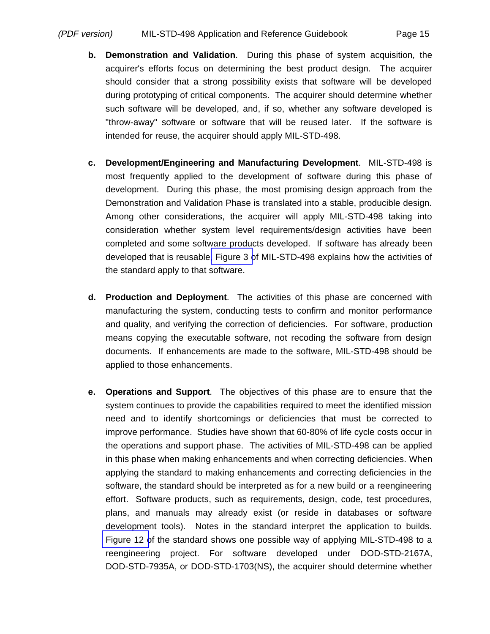- <span id="page-28-0"></span>**b. Demonstration and Validation**. During this phase of system acquisition, the acquirer's efforts focus on determining the best product design. The acquirer should consider that a strong possibility exists that software will be developed during prototyping of critical components. The acquirer should determine whether such software will be developed, and, if so, whether any software developed is "throw-away" software or software that will be reused later. If the software is intended for reuse, the acquirer should apply MIL-STD-498.
- **c. Development/Engineering and Manufacturing Development**. MIL-STD-498 is most frequently applied to the development of software during this phase of development. During this phase, the most promising design approach from the Demonstration and Validation Phase is translated into a stable, producible design. Among other considerations, the acquirer will apply MIL-STD-498 taking into consideration whether system level requirements/design activities have been completed and some software products developed. If software has already been developed that is reusable[, Figure 3 o](#page-41-0)f MIL-STD-498 explains how the activities of the standard apply to that software.
- **d. Production and Deployment**. The activities of this phase are concerned with manufacturing the system, conducting tests to confirm and monitor performance and quality, and verifying the correction of deficiencies. For software, production means copying the executable software, not recoding the software from design documents. If enhancements are made to the software, MIL-STD-498 should be applied to those enhancements.
- **e. Operations and Support**. The objectives of this phase are to ensure that the system continues to provide the capabilities required to meet the identified mission need and to identify shortcomings or deficiencies that must be corrected to improve performance. Studies have shown that 60-80% of life cycle costs occur in the operations and support phase. The activities of MIL-STD-498 can be applied in this phase when making enhancements and when correcting deficiencies. When applying the standard to making enhancements and correcting deficiencies in the software, the standard should be interpreted as for a new build or a reengineering effort. Software products, such as requirements, design, code, test procedures, plans, and manuals may already exist (or reside in databases or software development tools). Notes in the standard interpret the application to builds. [Figure 12 o](#page-60-0)f the standard shows one possible way of applying MIL-STD-498 to a reengineering project. For software developed under DOD-STD-2167A, DOD-STD-7935A, or DOD-STD-1703(NS), the acquirer should determine whether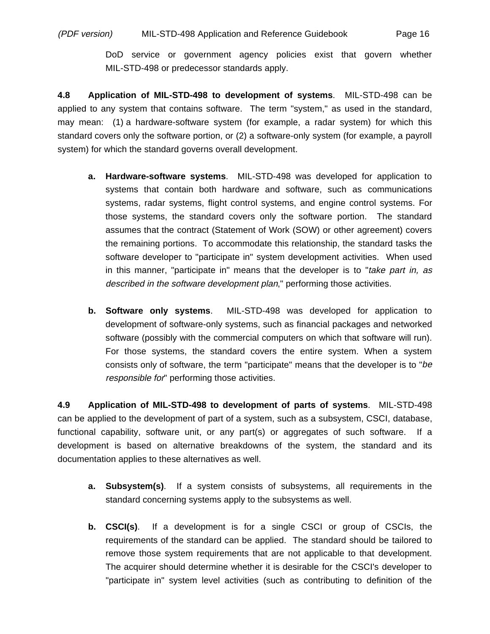<span id="page-29-2"></span>DoD service or government agency policies exist that govern whether MIL-STD-498 or predecessor standards apply.

<span id="page-29-0"></span>**4.8 Application of MIL-STD-498 to development of systems**. MIL-STD-498 can be applied to any system that contains software. The term "system," as used in the standard, may mean: (1) a hardware-software system (for example, a radar system) for which this standard covers only the software portion, or (2) a software-only system (for example, a payroll system) for which the standard governs overall development.

- **a. Hardware-software systems**. MIL-STD-498 was developed for application to systems that contain both hardware and software, such as communications systems, radar systems, flight control systems, and engine control systems. For those systems, the standard covers only the software portion. The standard assumes that the contract (Statement of Work (SOW) or other agreement) covers the remaining portions. To accommodate this relationship, the standard tasks the software developer to "participate in" system development activities. When used in this manner, "participate in" means that the developer is to "take part in, as described in the software development plan," performing those activities.
- <span id="page-29-1"></span>**b. Software only systems**. MIL-STD-498 was developed for application to development of software-only systems, such as financial packages and networked software (possibly with the commercial computers on which that software will run). For those systems, the standard covers the entire system. When a system consists only of software, the term "participate" means that the developer is to "be responsible for" performing those activities.

**4.9 Application of MIL-STD-498 to development of parts of systems**. MIL-STD-498 can be applied to the development of part of a system, such as a subsystem, CSCI, database, functional capability, software unit, or any part(s) or aggregates of such software. If a development is based on alternative breakdowns of the system, the standard and its documentation applies to these alternatives as well.

- **a. Subsystem(s)**. If a system consists of subsystems, all requirements in the standard concerning systems apply to the subsystems as well.
- **b. CSCI(s)**. If a development is for a single CSCI or group of CSCIs, the requirements of the standard can be applied. The standard should be tailored to remove those system requirements that are not applicable to that development. The acquirer should determine whether it is desirable for the CSCI's developer to "participate in" system level activities (such as contributing to definition of the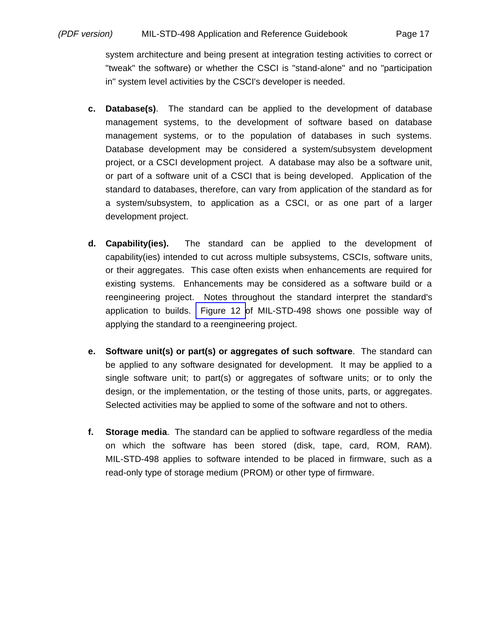system architecture and being present at integration testing activities to correct or "tweak" the software) or whether the CSCI is "stand-alone" and no "participation in" system level activities by the CSCI's developer is needed.

- **c. Database(s)**. The standard can be applied to the development of database management systems, to the development of software based on database management systems, or to the population of databases in such systems. Database development may be considered a system/subsystem development project, or a CSCI development project. A database may also be a software unit, or part of a software unit of a CSCI that is being developed. Application of the standard to databases, therefore, can vary from application of the standard as for a system/subsystem, to application as a CSCI, or as one part of a larger development project.
- **d. Capability(ies).** The standard can be applied to the development of capability(ies) intended to cut across multiple subsystems, CSCIs, software units, or their aggregates. This case often exists when enhancements are required for existing systems. Enhancements may be considered as a software build or a reengineering project. Notes throughout the standard interpret the standard's application to builds. [Figure 12 o](#page-60-0)f MIL-STD-498 shows one possible way of applying the standard to a reengineering project.
- **e. Software unit(s) or part(s) or aggregates of such software**. The standard can be applied to any software designated for development. It may be applied to a single software unit; to part(s) or aggregates of software units; or to only the design, or the implementation, or the testing of those units, parts, or aggregates. Selected activities may be applied to some of the software and not to others.
- **f. Storage media**. The standard can be applied to software regardless of the media on which the software has been stored (disk, tape, card, ROM, RAM). MIL-STD-498 applies to software intended to be placed in firmware, such as a read-only type of storage medium (PROM) or other type of firmware.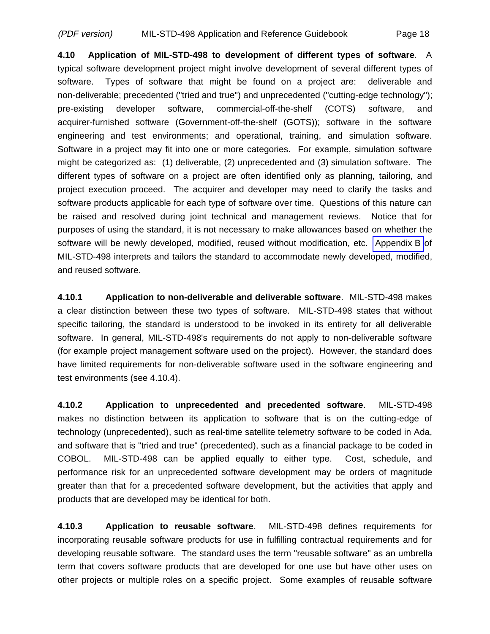<span id="page-31-3"></span><span id="page-31-2"></span>**4.10 Application of MIL-STD-498 to development of different types of software**. A typical software development project might involve development of several different types of software. Types of software that might be found on a project are: deliverable and non-deliverable; precedented ("tried and true") and unprecedented ("cutting-edge technology"); pre-existing developer software, commercial-off-the-shelf (COTS) software, and acquirer-furnished software (Government-off-the-shelf (GOTS)); software in the software engineering and test environments; and operational, training, and simulation software. Software in a project may fit into one or more categories. For example, simulation software might be categorized as: (1) deliverable, (2) unprecedented and (3) simulation software. The different types of software on a project are often identified only as planning, tailoring, and project execution proceed. The acquirer and developer may need to clarify the tasks and software products applicable for each type of software over time. Questions of this nature can be raised and resolved during joint technical and management reviews. Notice that for purposes of using the standard, it is not necessary to make allowances based on whether the software will be newly developed, modified, reused without modification, etc. [Appendix B](#page-40-0) of MIL-STD-498 interprets and tailors the standard to accommodate newly developed, modified, and reused software.

<span id="page-31-1"></span><span id="page-31-0"></span>**4.10.1 Application to non-deliverable and deliverable software**. MIL-STD-498 makes a clear distinction between these two types of software. MIL-STD-498 states that without specific tailoring, the standard is understood to be invoked in its entirety for all deliverable software. In general, MIL-STD-498's requirements do not apply to non-deliverable software (for example project management software used on the project). However, the standard does have limited requirements for non-deliverable software used in the software engineering and test environments (see 4.10.4).

**4.10.2 Application to unprecedented and precedented software**. MIL-STD-498 makes no distinction between its application to software that is on the cutting-edge of technology (unprecedented), such as real-time satellite telemetry software to be coded in Ada, and software that is "tried and true" (precedented), such as a financial package to be coded in COBOL. MIL-STD-498 can be applied equally to either type. Cost, schedule, and performance risk for an unprecedented software development may be orders of magnitude greater than that for a precedented software development, but the activities that apply and products that are developed may be identical for both.

**4.10.3 Application to reusable software**. MIL-STD-498 defines requirements for incorporating reusable software products for use in fulfilling contractual requirements and for developing reusable software. The standard uses the term "reusable software" as an umbrella term that covers software products that are developed for one use but have other uses on other projects or multiple roles on a specific project. Some examples of reusable software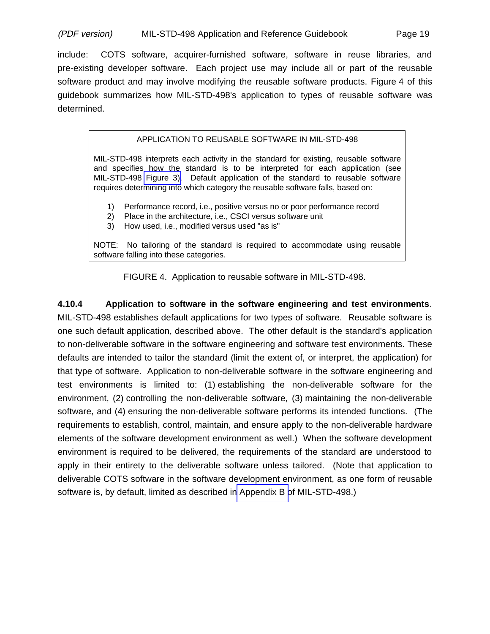<span id="page-32-2"></span><span id="page-32-1"></span>include: COTS software, acquirer-furnished software, software in reuse libraries, and pre-existing developer software. Each project use may include all or part of the reusable software product and may involve modifying the reusable software products. Figure 4 of this guidebook summarizes how MIL-STD-498's application to types of reusable software was determined.

#### APPLICATION TO REUSABLE SOFTWARE IN MIL-STD-498

MIL-STD-498 interprets each activity in the standard for existing, reusable software and specifies how the standard is to be interpreted for each application (see MIL-STD-498 [Figure 3\).](#page-41-0) Default application of the standard to reusable software requires determining into which category the reusable software falls, based on:

1) Performance record, i.e., positive versus no or poor performance record

- 2) Place in the architecture, i.e., CSCI versus software unit
- 3) How used, i.e., modified versus used "as is"

<span id="page-32-0"></span>NOTE: No tailoring of the standard is required to accommodate using reusable software falling into these categories.

FIGURE 4. Application to reusable software in MIL-STD-498.

**4.10.4 Application to software in the software engineering and test environments**. MIL-STD-498 establishes default applications for two types of software. Reusable software is one such default application, described above. The other default is the standard's application to non-deliverable software in the software engineering and software test environments. These defaults are intended to tailor the standard (limit the extent of, or interpret, the application) for that type of software. Application to non-deliverable software in the software engineering and test environments is limited to: (1) establishing the non-deliverable software for the environment, (2) controlling the non-deliverable software, (3) maintaining the non-deliverable software, and (4) ensuring the non-deliverable software performs its intended functions. (The requirements to establish, control, maintain, and ensure apply to the non-deliverable hardware elements of the software development environment as well.) When the software development environment is required to be delivered, the requirements of the standard are understood to apply in their entirety to the deliverable software unless tailored. (Note that application to deliverable COTS software in the software development environment, as one form of reusable software is, by default, limited as described i[n Appendix B o](#page-40-0)f MIL-STD-498.)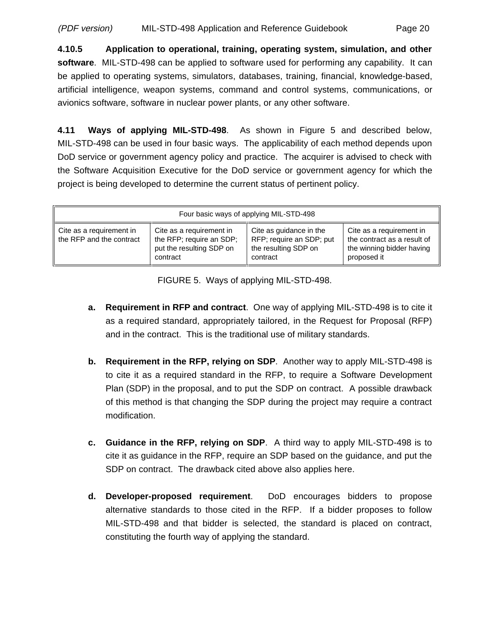<span id="page-33-2"></span><span id="page-33-0"></span>**4.10.5 Application to operational, training, operating system, simulation, and other software**. MIL-STD-498 can be applied to software used for performing any capability. It can be applied to operating systems, simulators, databases, training, financial, knowledge-based, artificial intelligence, weapon systems, command and control systems, communications, or avionics software, software in nuclear power plants, or any other software.

<span id="page-33-1"></span>**4.11 Ways of applying MIL-STD-498**. As shown in Figure 5 and described below, MIL-STD-498 can be used in four basic ways. The applicability of each method depends upon DoD service or government agency policy and practice. The acquirer is advised to check with the Software Acquisition Executive for the DoD service or government agency for which the project is being developed to determine the current status of pertinent policy.

| Four basic ways of applying MIL-STD-498              |                                                                                              |                                                                                         |                                                                                                     |  |  |
|------------------------------------------------------|----------------------------------------------------------------------------------------------|-----------------------------------------------------------------------------------------|-----------------------------------------------------------------------------------------------------|--|--|
| Cite as a requirement in<br>the RFP and the contract | Cite as a requirement in<br>the RFP; require an SDP;<br>put the resulting SDP on<br>contract | Cite as guidance in the<br>RFP; require an SDP; put<br>the resulting SDP on<br>contract | Cite as a requirement in<br>the contract as a result of<br>the winning bidder having<br>proposed it |  |  |

FIGURE 5. Ways of applying MIL-STD-498.

- **a. Requirement in RFP and contract**. One way of applying MIL-STD-498 is to cite it as a required standard, appropriately tailored, in the Request for Proposal (RFP) and in the contract. This is the traditional use of military standards.
- **b. Requirement in the RFP, relying on SDP**. Another way to apply MIL-STD-498 is to cite it as a required standard in the RFP, to require a Software Development Plan (SDP) in the proposal, and to put the SDP on contract. A possible drawback of this method is that changing the SDP during the project may require a contract modification.
- **c. Guidance in the RFP, relying on SDP**. A third way to apply MIL-STD-498 is to cite it as guidance in the RFP, require an SDP based on the guidance, and put the SDP on contract. The drawback cited above also applies here.
- **d. Developer-proposed requirement**. DoD encourages bidders to propose alternative standards to those cited in the RFP. If a bidder proposes to follow MIL-STD-498 and that bidder is selected, the standard is placed on contract, constituting the fourth way of applying the standard.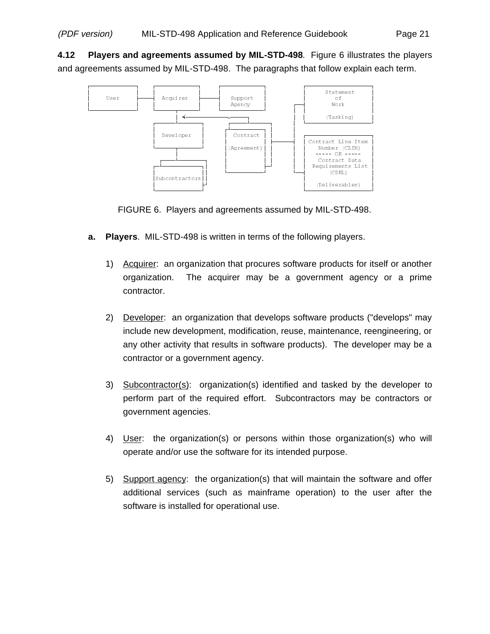<span id="page-34-0"></span>**4.12 Players and agreements assumed by MIL-STD-498**. Figure 6 illustrates the players and agreements assumed by MIL-STD-498. The paragraphs that follow explain each term.



FIGURE 6. Players and agreements assumed by MIL-STD-498.

- **a. Players**. MIL-STD-498 is written in terms of the following players.
	- 1) Acquirer: an organization that procures software products for itself or another organization. The acquirer may be a government agency or a prime contractor.
	- 2) Developer: an organization that develops software products ("develops" may include new development, modification, reuse, maintenance, reengineering, or any other activity that results in software products). The developer may be a contractor or a government agency.
	- 3) Subcontractor(s): organization(s) identified and tasked by the developer to perform part of the required effort. Subcontractors may be contractors or government agencies.
	- 4) User: the organization(s) or persons within those organization(s) who will operate and/or use the software for its intended purpose.
	- 5) Support agency: the organization(s) that will maintain the software and offer additional services (such as mainframe operation) to the user after the software is installed for operational use.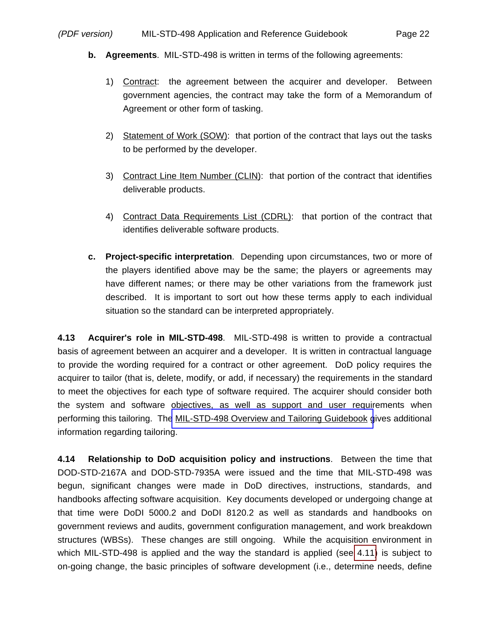- <span id="page-35-1"></span>**b. Agreements**. MIL-STD-498 is written in terms of the following agreements:
	- 1) Contract: the agreement between the acquirer and developer. Between government agencies, the contract may take the form of a Memorandum of Agreement or other form of tasking.
	- 2) Statement of Work (SOW): that portion of the contract that lays out the tasks to be performed by the developer.
	- 3) Contract Line Item Number (CLIN): that portion of the contract that identifies deliverable products.
	- 4) Contract Data Requirements List (CDRL): that portion of the contract that identifies deliverable software products.
- <span id="page-35-0"></span>**c. Project-specific interpretation**. Depending upon circumstances, two or more of the players identified above may be the same; the players or agreements may have different names; or there may be other variations from the framework just described. It is important to sort out how these terms apply to each individual situation so the standard can be interpreted appropriately.

**4.13 Acquirer's role in MIL-STD-498**. MIL-STD-498 is written to provide a contractual basis of agreement between an acquirer and a developer. It is written in contractual language to provide the wording required for a contract or other agreement. DoD policy requires the acquirer to tailor (that is, delete, modify, or add, if necessary) the requirements in the standard to meet the objectives for each type of software required. The acquirer should consider both the system and software objectives, as well as support and user requirements when performing this tailoring. Th[e MIL-STD-498 Overview and Tailoring Guidebook g](#page-50-0)ives additional information regarding tailoring.

**4.14 Relationship to DoD acquisition policy and instructions**. Between the time that DOD-STD-2167A and DOD-STD-7935A were issued and the time that MIL-STD-498 was begun, significant changes were made in DoD directives, instructions, standards, and handbooks affecting software acquisition. Key documents developed or undergoing change at that time were DoDI 5000.2 and DoDI 8120.2 as well as standards and handbooks on government reviews and audits, government configuration management, and work breakdown structures (WBSs). These changes are still ongoing. While the acquisition environment in which MIL-STD-498 is applied and the way the standard is applied (see [4.11\)](#page-33-2) is subject to on-going change, the basic principles of software development (i.e., determine needs, define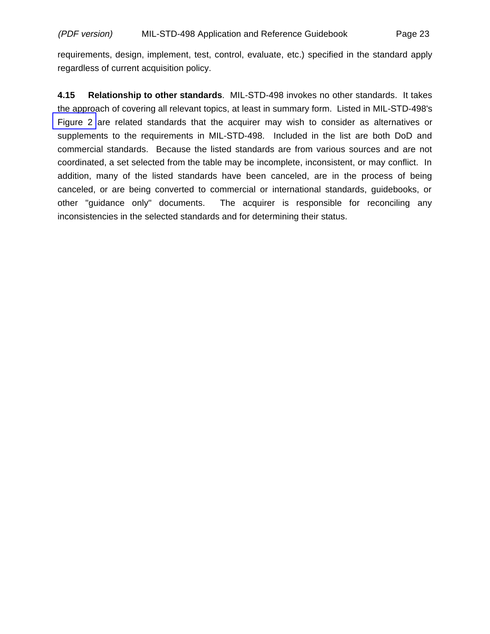requirements, design, implement, test, control, evaluate, etc.) specified in the standard apply regardless of current acquisition policy.

<span id="page-36-0"></span>**4.15 Relationship to other standards**. MIL-STD-498 invokes no other standards. It takes the approach of covering all relevant topics, at least in summary form. Listed in MIL-STD-498's [Figure 2](#page-37-0) are related standards that the acquirer may wish to consider as alternatives or supplements to the requirements in MIL-STD-498. Included in the list are both DoD and commercial standards. Because the listed standards are from various sources and are not coordinated, a set selected from the table may be incomplete, inconsistent, or may conflict. In addition, many of the listed standards have been canceled, are in the process of being canceled, or are being converted to commercial or international standards, guidebooks, or other "guidance only" documents. The acquirer is responsible for reconciling any inconsistencies in the selected standards and for determining their status.